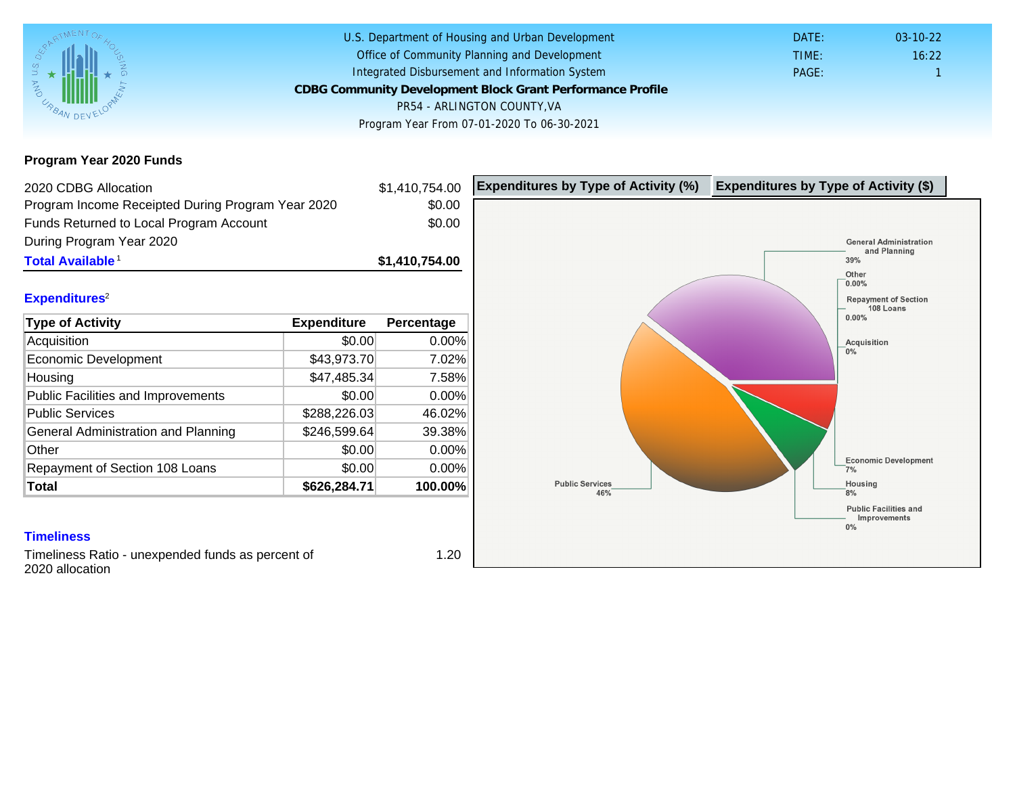Program Year 2020 Funds

| 2020 CDBG Allocation                              |              | \$1,410,754.00 | Expenditures by Type of Activity (%) | Expenditure |
|---------------------------------------------------|--------------|----------------|--------------------------------------|-------------|
| Program Income Receipted During Program Year 2020 |              | \$0.00         |                                      |             |
| Funds Returned to Local Program Account           |              | \$0.00         |                                      |             |
| During Program Year 2020                          |              |                |                                      |             |
| Total Available <sup>1</sup>                      |              | \$1,410,754.00 |                                      |             |
|                                                   |              |                |                                      |             |
| Expenditures <sup>2</sup>                         |              |                |                                      |             |
| Type of Activity                                  | Expenditure  | Percentage     |                                      |             |
| Acquisition                                       | \$0.00       | 0.00%          |                                      |             |
| <b>Economic Development</b>                       | \$43,973.70  | 7.02%          |                                      |             |
| Housing                                           | \$47,485.34  | 7.58%          |                                      |             |
| <b>Public Facilities and Improvements</b>         | \$0.00       | 0.00%          |                                      |             |
| <b>Public Services</b>                            | \$288,226.03 | 46.02%         |                                      |             |
| General Administration and Planning               | \$246,599.64 | 39.38%         |                                      |             |
| Other                                             | \$0.00       | 0.00%          |                                      |             |
| Repayment of Section 108 Loans                    | \$0.00       | 0.00%          |                                      |             |
| Total                                             | \$626,284.71 | 100.00%        |                                      |             |
|                                                   |              |                |                                      |             |
| <b>Timeliness</b>                                 |              |                |                                      |             |
| Timeliness Ratio - unexpended funds as percent of |              | 1.20           |                                      |             |

unexpended runds as perce 2020 allocation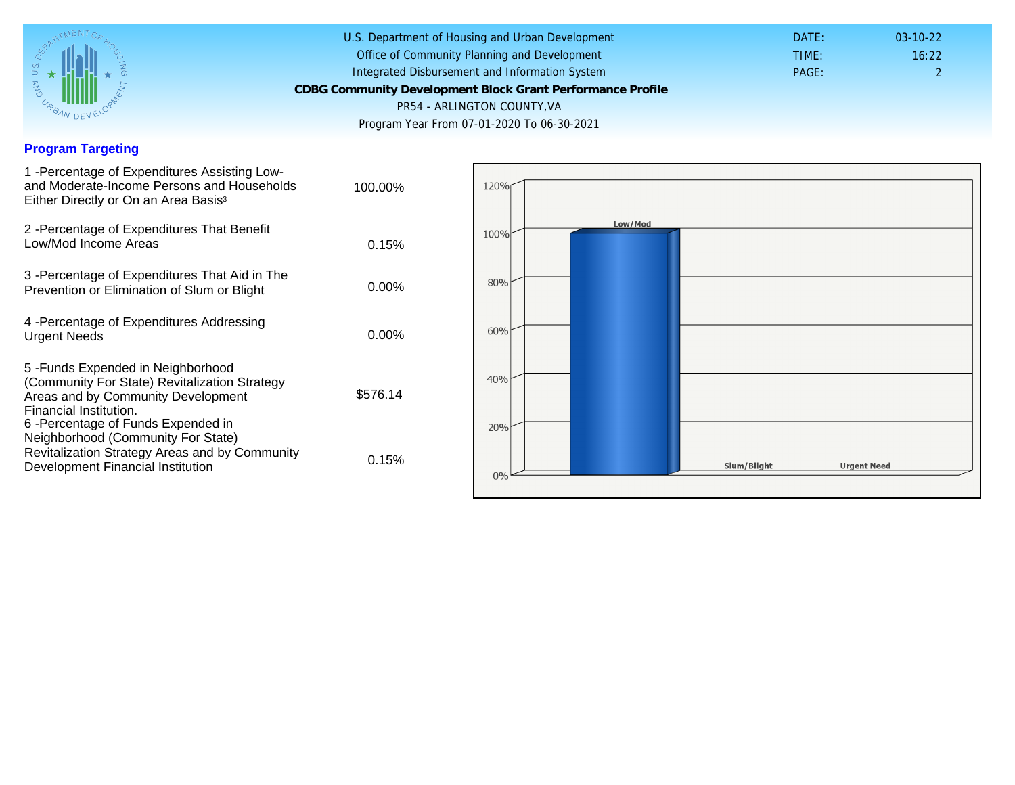## Program Targeting

| 1 - Percentage of Expenditures Assisting Low-<br>and Moderate-Income Persons and Households<br>Either Directly or On an Area Basis <sup>3</sup>                                                                              | 100.00%  |
|------------------------------------------------------------------------------------------------------------------------------------------------------------------------------------------------------------------------------|----------|
| 2 - Percentage of Expenditures That Benefit<br>Low/Mod Income Areas                                                                                                                                                          | 0.15%    |
| 3 -Percentage of Expenditures That Aid in The<br>Prevention or Elimination of Slum or Blight                                                                                                                                 | 0.00%    |
| 4 - Percentage of Expenditures Addressing<br><b>Urgent Needs</b>                                                                                                                                                             | $0.00\%$ |
| 5-Funds Expended in Neighborhood<br>(Community For State) Revitalization Strategy<br>Areas and by Community Development<br>Financial Institution.<br>6-Percentage of Funds Expended in<br>Neighborhood (Community For State) | \$576.14 |
| Revitalization Strategy Areas and by Community<br>Development Financial Institution                                                                                                                                          | 0.15%    |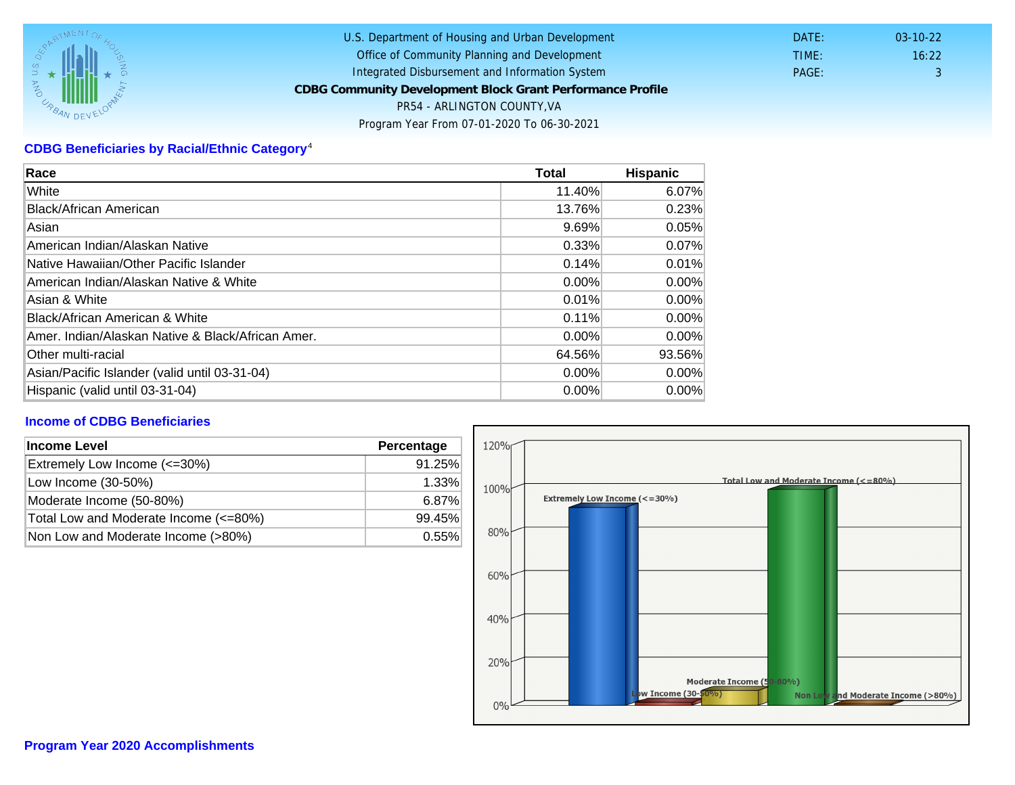## CDBG Beneficiaries by Racial/Ethnic Category <sup>4</sup>

| Race                                              | Total    | Hispanic |
|---------------------------------------------------|----------|----------|
| White                                             | 11.40%   | 6.07%    |
| Black/African American                            | 13.76%   | 0.23%    |
| Asian                                             | 9.69%    | 0.05%    |
| IAmerican Indian/Alaskan Native                   | 0.33%    | 0.07%    |
| lNative Hawaiian/Other Pacific Islander           | 0.14%    | 0.01%    |
| American Indian/Alaskan Native & White            | 0.00%    | $0.00\%$ |
| Asian & White                                     | 0.01%    | 0.00%    |
| Black/African American & White                    | 0.11%    | $0.00\%$ |
| Amer. Indian/Alaskan Native & Black/African Amer. | $0.00\%$ | $0.00\%$ |
| <b>Other multi-racial</b>                         | 64.56%   | 93.56%   |
| Asian/Pacific Islander (valid until 03-31-04)     | 0.00%    | 0.00%    |
| Hispanic (valid until 03-31-04)                   | 0.00%    | 0.00%    |

## Income of CDBG Beneficiaries

| Income Level                          | Percentage |  |
|---------------------------------------|------------|--|
| Extremely Low Income (<=30%)          | 91.25%     |  |
| Low Income (30-50%)                   | 1.33%      |  |
| Moderate Income (50-80%)              | 6.87%      |  |
| Total Low and Moderate Income (<=80%) | 99.45%     |  |
| Non Low and Moderate Income (>80%)    | 0.55%      |  |